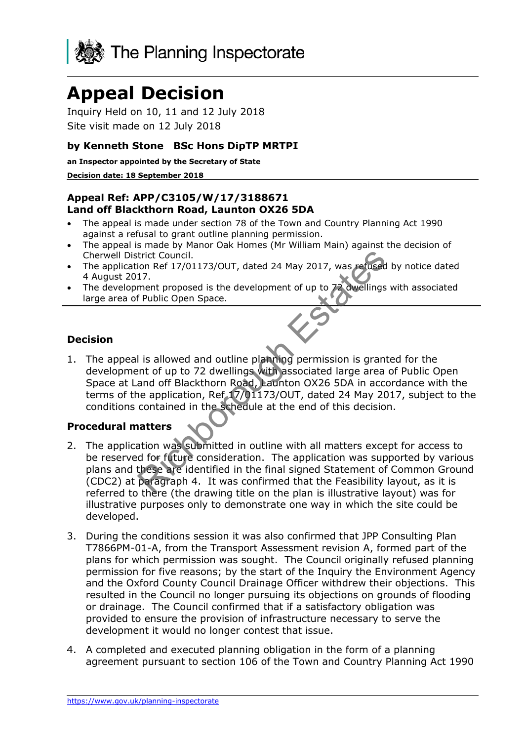

# **Appeal Decision**

Inquiry Held on 10, 11 and 12 July 2018 Site visit made on 12 July 2018

#### **by Kenneth Stone BSc Hons DipTP MRTPI**

**an Inspector appointed by the Secretary of State**

#### **Decision date: 18 September 2018**

#### **Appeal Ref: APP/C3105/W/17/3188671 Land off Blackthorn Road, Launton OX26 5DA**

- The appeal is made under section 78 of the Town and Country Planning Act 1990 against a refusal to grant outline planning permission.
- The appeal is made by Manor Oak Homes (Mr William Main) against the decision of Cherwell District Council.
- The application Ref 17/01173/OUT, dated 24 May 2017, was refused by notice dated 4 August 2017.
- The development proposed is the development of up to 72 dwellings with associated large area of Public Open Space.

#### **Decision**

1. The appeal is allowed and outline planning permission is granted for the development of up to 72 dwellings with associated large area of Public Open Space at Land off Blackthorn Road, Launton OX26 5DA in accordance with the terms of the application, Ref 17/01173/OUT, dated 24 May 2017, subject to the conditions contained in the schedule at the end of this decision. Richborough Estates

## **Procedural matters**

- 2. The application was submitted in outline with all matters except for access to be reserved for future consideration. The application was supported by various plans and these are identified in the final signed Statement of Common Ground (CDC2) at paragraph 4. It was confirmed that the Feasibility layout, as it is referred to there (the drawing title on the plan is illustrative layout) was for illustrative purposes only to demonstrate one way in which the site could be developed.
- 3. During the conditions session it was also confirmed that JPP Consulting Plan T7866PM-01-A, from the Transport Assessment revision A, formed part of the plans for which permission was sought. The Council originally refused planning permission for five reasons; by the start of the Inquiry the Environment Agency and the Oxford County Council Drainage Officer withdrew their objections. This resulted in the Council no longer pursuing its objections on grounds of flooding or drainage. The Council confirmed that if a satisfactory obligation was provided to ensure the provision of infrastructure necessary to serve the development it would no longer contest that issue.
- 4. A completed and executed planning obligation in the form of a planning agreement pursuant to section 106 of the Town and Country Planning Act 1990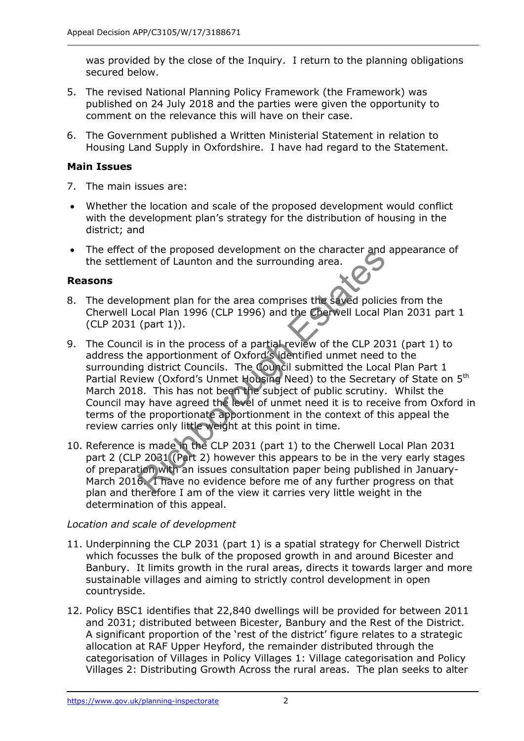was provided by the close of the Inquiry. I return to the planning obligations secured below.

- 5. The revised National Planning Policy Framework (the Framework) was published on 24 July 2018 and the parties were given the opportunity to comment on the relevance this will have on their case.
- 6. The Government published a Written Ministerial Statement in relation to Housing Land Supply in Oxfordshire. I have had regard to the Statement.

# **Main Issues**

- 7. The main issues are:
- Whether the location and scale of the proposed development would conflict with the development plan's strategy for the distribution of housing in the district; and
- The effect of the proposed development on the character and appearance of the settlement of Launton and the surrounding area.

# **Reasons**

- 8. The development plan for the area comprises the saved policies from the Cherwell Local Plan 1996 (CLP 1996) and the Cherwell Local Plan 2031 part 1 (CLP 2031 (part 1)).
- 9. The Council is in the process of a partial review of the CLP 2031 (part 1) to address the apportionment of Oxford's identified unmet need to the surrounding district Councils. The Council submitted the Local Plan Part 1 Partial Review (Oxford's Unmet Housing Need) to the Secretary of State on 5<sup>th</sup> March 2018. This has not been the subject of public scrutiny. Whilst the Council may have agreed the level of unmet need it is to receive from Oxford in terms of the proportionate apportionment in the context of this appeal the review carries only little weight at this point in time. of the proposed development of the character and<br>nent of Launton and the surrounding area.<br>Since and the surrounding area.<br>(part 1)).<br>Il is in the process of a partial review of the CLP 20<br>e apportionment of Oxford's ident
- 10. Reference is made in the CLP 2031 (part 1) to the Cherwell Local Plan 2031 part 2 (CLP 2031 (Part 2) however this appears to be in the very early stages of preparation with an issues consultation paper being published in January-March 2016. I have no evidence before me of any further progress on that plan and therefore I am of the view it carries very little weight in the determination of this appeal.

## *Location and scale of development*

- 11. Underpinning the CLP 2031 (part 1) is a spatial strategy for Cherwell District which focusses the bulk of the proposed growth in and around Bicester and Banbury. It limits growth in the rural areas, directs it towards larger and more sustainable villages and aiming to strictly control development in open countryside.
- 12. Policy BSC1 identifies that 22,840 dwellings will be provided for between 2011 and 2031; distributed between Bicester, Banbury and the Rest of the District. A significant proportion of the 'rest of the district' figure relates to a strategic allocation at RAF Upper Heyford, the remainder distributed through the categorisation of Villages in Policy Villages 1: Village categorisation and Policy Villages 2: Distributing Growth Across the rural areas. The plan seeks to alter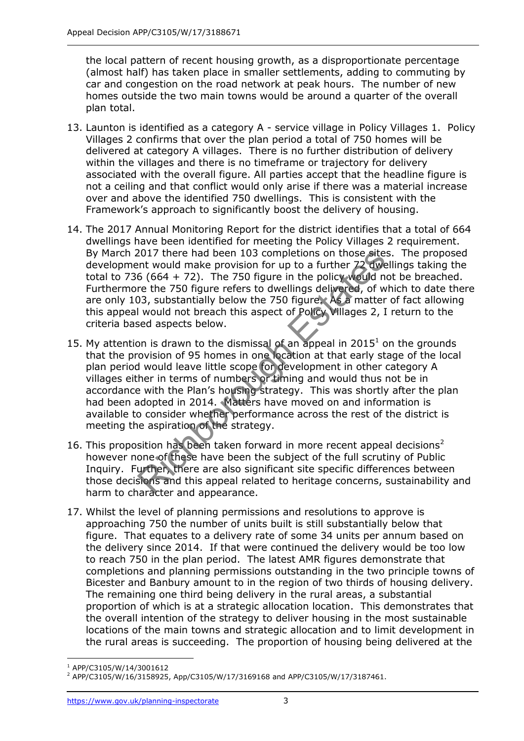the local pattern of recent housing growth, as a disproportionate percentage (almost half) has taken place in smaller settlements, adding to commuting by car and congestion on the road network at peak hours. The number of new homes outside the two main towns would be around a quarter of the overall plan total.

- 13. Launton is identified as a category A service village in Policy Villages 1. Policy Villages 2 confirms that over the plan period a total of 750 homes will be delivered at category A villages. There is no further distribution of delivery within the villages and there is no timeframe or trajectory for delivery associated with the overall figure. All parties accept that the headline figure is not a ceiling and that conflict would only arise if there was a material increase over and above the identified 750 dwellings. This is consistent with the Framework's approach to significantly boost the delivery of housing.
- 14. The 2017 Annual Monitoring Report for the district identifies that a total of 664 dwellings have been identified for meeting the Policy Villages 2 requirement. By March 2017 there had been 103 completions on those sites. The proposed development would make provision for up to a further 72 dwellings taking the total to 736 (664 + 72). The 750 figure in the policy would not be breached. Furthermore the 750 figure refers to dwellings delivered, of which to date there are only 103, substantially below the 750 figure. As a matter of fact allowing this appeal would not breach this aspect of Policy Villages 2, I return to the criteria based aspects below.
- 15. My attention is drawn to the dismissal of an appeal in  $2015<sup>1</sup>$  on the grounds that the provision of 95 homes in one location at that early stage of the local plan period would leave little scope for development in other category A villages either in terms of numbers or timing and would thus not be in accordance with the Plan's housing strategy. This was shortly after the plan had been adopted in 2014. Matters have moved on and information is available to consider whether performance across the rest of the district is meeting the aspiration of the strategy. 2017 there had been 103 completions on those site<br>
ent would make provision for up to a further 72 dwe<br>
6 (664 + 72). The 750 figure in the policy would n<br>
re the 750 figure refers to dwellings delivered, of w<br>
13, substa
- 16. This proposition has been taken forward in more recent appeal decisions<sup>2</sup> however none of these have been the subject of the full scrutiny of Public Inquiry. Further, there are also significant site specific differences between those decisions and this appeal related to heritage concerns, sustainability and harm to character and appearance.
- 17. Whilst the level of planning permissions and resolutions to approve is approaching 750 the number of units built is still substantially below that figure. That equates to a delivery rate of some 34 units per annum based on the delivery since 2014. If that were continued the delivery would be too low to reach 750 in the plan period. The latest AMR figures demonstrate that completions and planning permissions outstanding in the two principle towns of Bicester and Banbury amount to in the region of two thirds of housing delivery. The remaining one third being delivery in the rural areas, a substantial proportion of which is at a strategic allocation location. This demonstrates that the overall intention of the strategy to deliver housing in the most sustainable locations of the main towns and strategic allocation and to limit development in the rural areas is succeeding. The proportion of housing being delivered at the

j 1 APP/C3105/W/14/3001612

<sup>2</sup> APP/C3105/W/16/3158925, App/C3105/W/17/3169168 and APP/C3105/W/17/3187461.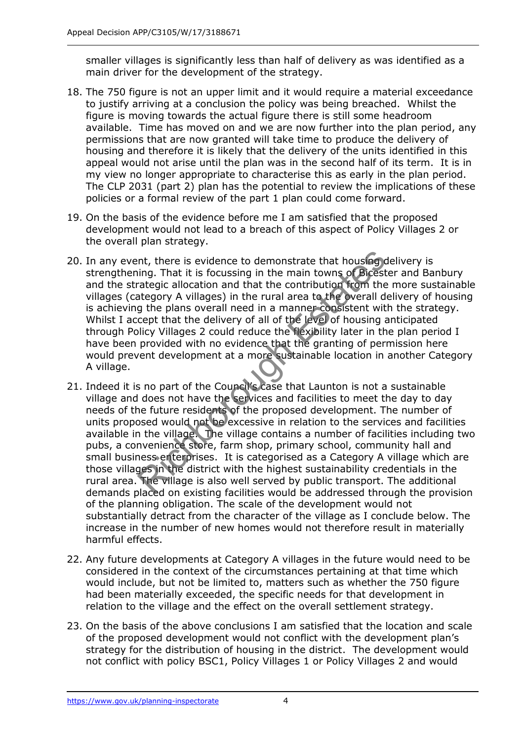smaller villages is significantly less than half of delivery as was identified as a main driver for the development of the strategy.

- 18. The 750 figure is not an upper limit and it would require a material exceedance to justify arriving at a conclusion the policy was being breached. Whilst the figure is moving towards the actual figure there is still some headroom available. Time has moved on and we are now further into the plan period, any permissions that are now granted will take time to produce the delivery of housing and therefore it is likely that the delivery of the units identified in this appeal would not arise until the plan was in the second half of its term. It is in my view no longer appropriate to characterise this as early in the plan period. The CLP 2031 (part 2) plan has the potential to review the implications of these policies or a formal review of the part 1 plan could come forward.
- 19. On the basis of the evidence before me I am satisfied that the proposed development would not lead to a breach of this aspect of Policy Villages 2 or the overall plan strategy.
- 20. In any event, there is evidence to demonstrate that housing delivery is strengthening. That it is focussing in the main towns of Bicester and Banbury and the strategic allocation and that the contribution from the more sustainable villages (category A villages) in the rural area to the overall delivery of housing is achieving the plans overall need in a manner consistent with the strategy. Whilst I accept that the delivery of all of the level of housing anticipated through Policy Villages 2 could reduce the flexibility later in the plan period I have been provided with no evidence that the granting of permission here would prevent development at a more sustainable location in another Category A village. nt, there is evidence to demonstrate that housing<br>ining. That it is focussing in the main towns of Bicest<br>rategic allocation and that the contribution from the<br>ategory A villages) in the rural area to the overall d<br>g the p
- 21. Indeed it is no part of the Council's case that Launton is not a sustainable village and does not have the services and facilities to meet the day to day needs of the future residents of the proposed development. The number of units proposed would not be excessive in relation to the services and facilities available in the village. The village contains a number of facilities including two pubs, a convenience store, farm shop, primary school, community hall and small business enterprises. It is categorised as a Category A village which are those villages in the district with the highest sustainability credentials in the rural area. The village is also well served by public transport. The additional demands placed on existing facilities would be addressed through the provision of the planning obligation. The scale of the development would not substantially detract from the character of the village as I conclude below. The increase in the number of new homes would not therefore result in materially harmful effects.
- 22. Any future developments at Category A villages in the future would need to be considered in the context of the circumstances pertaining at that time which would include, but not be limited to, matters such as whether the 750 figure had been materially exceeded, the specific needs for that development in relation to the village and the effect on the overall settlement strategy.
- 23. On the basis of the above conclusions I am satisfied that the location and scale of the proposed development would not conflict with the development plan's strategy for the distribution of housing in the district. The development would not conflict with policy BSC1, Policy Villages 1 or Policy Villages 2 and would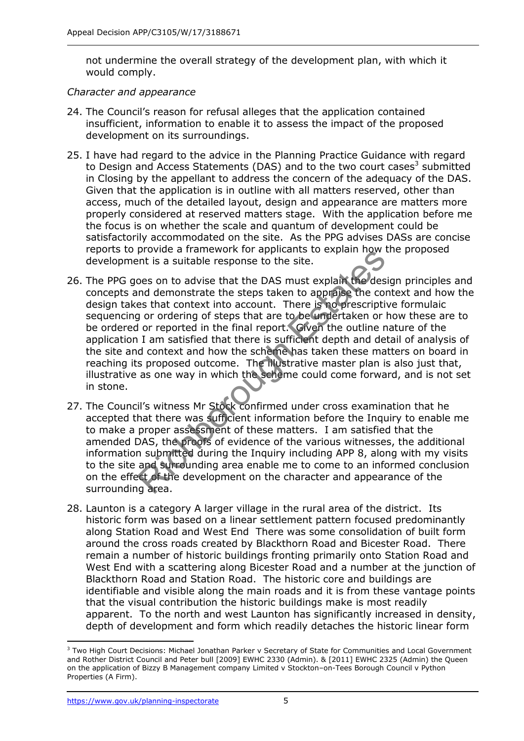not undermine the overall strategy of the development plan, with which it would comply.

#### *Character and appearance*

- 24. The Council's reason for refusal alleges that the application contained insufficient, information to enable it to assess the impact of the proposed development on its surroundings.
- 25. I have had regard to the advice in the Planning Practice Guidance with regard to Design and Access Statements (DAS) and to the two court cases<sup>3</sup> submitted in Closing by the appellant to address the concern of the adequacy of the DAS. Given that the application is in outline with all matters reserved, other than access, much of the detailed layout, design and appearance are matters more properly considered at reserved matters stage. With the application before me the focus is on whether the scale and quantum of development could be satisfactorily accommodated on the site. As the PPG advises DASs are concise reports to provide a framework for applicants to explain how the proposed development is a suitable response to the site.
- 26. The PPG goes on to advise that the DAS must explain the design principles and concepts and demonstrate the steps taken to appraise the context and how the design takes that context into account. There is no prescriptive formulaic sequencing or ordering of steps that are to be undertaken or how these are to be ordered or reported in the final report. Given the outline nature of the application I am satisfied that there is sufficient depth and detail of analysis of the site and context and how the scheme has taken these matters on board in reaching its proposed outcome. The illustrative master plan is also just that, illustrative as one way in which the scheme could come forward, and is not set in stone. provide a maniework for applicants to explain how<br>ent is a suitable response to the site.<br>Ones on to advise that the DAS must explain the des<br>not demonstrate the steps taken to approach the con-<br>g or ordering of steps that
- 27. The Council's witness Mr Stock confirmed under cross examination that he accepted that there was sufficient information before the Inquiry to enable me to make a proper assessment of these matters. I am satisfied that the amended DAS, the proofs of evidence of the various witnesses, the additional information submitted during the Inquiry including APP 8, along with my visits to the site and surrounding area enable me to come to an informed conclusion on the effect of the development on the character and appearance of the surrounding area.
- 28. Launton is a category A larger village in the rural area of the district. Its historic form was based on a linear settlement pattern focused predominantly along Station Road and West End There was some consolidation of built form around the cross roads created by Blackthorn Road and Bicester Road. There remain a number of historic buildings fronting primarily onto Station Road and West End with a scattering along Bicester Road and a number at the junction of Blackthorn Road and Station Road. The historic core and buildings are identifiable and visible along the main roads and it is from these vantage points that the visual contribution the historic buildings make is most readily apparent. To the north and west Launton has significantly increased in density, depth of development and form which readily detaches the historic linear form

j <sup>3</sup> Two High Court Decisions: Michael Jonathan Parker v Secretary of State for Communities and Local Government and Rother District Council and Peter bull [2009] EWHC 2330 (Admin). & [2011] EWHC 2325 (Admin) the Queen on the application of Bizzy B Management company Limited v Stockton–on-Tees Borough Council v Python Properties (A Firm).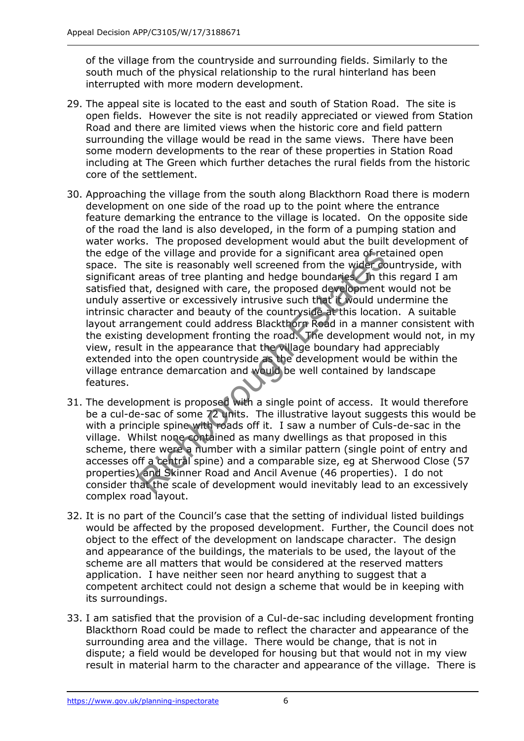of the village from the countryside and surrounding fields. Similarly to the south much of the physical relationship to the rural hinterland has been interrupted with more modern development.

- 29. The appeal site is located to the east and south of Station Road. The site is open fields. However the site is not readily appreciated or viewed from Station Road and there are limited views when the historic core and field pattern surrounding the village would be read in the same views. There have been some modern developments to the rear of these properties in Station Road including at The Green which further detaches the rural fields from the historic core of the settlement.
- 30. Approaching the village from the south along Blackthorn Road there is modern development on one side of the road up to the point where the entrance feature demarking the entrance to the village is located. On the opposite side of the road the land is also developed, in the form of a pumping station and water works. The proposed development would abut the built development of the edge of the village and provide for a significant area of retained open space. The site is reasonably well screened from the wider countryside, with significant areas of tree planting and hedge boundaries. In this regard I am satisfied that, designed with care, the proposed development would not be unduly assertive or excessively intrusive such that it would undermine the intrinsic character and beauty of the countryside at this location. A suitable layout arrangement could address Blackthorn Road in a manner consistent with the existing development fronting the road. The development would not, in my view, result in the appearance that the village boundary had appreciably extended into the open countryside as the development would be within the village entrance demarcation and would be well contained by landscape features. If the village and provide for a significant area of ree<br>site is reasonably well screened from the wider corrects areas of tree planting and hedge boundaries. In the<br>at, designed with care, the proposed development entrive
- 31. The development is proposed with a single point of access. It would therefore be a cul-de-sac of some 72 units. The illustrative layout suggests this would be with a principle spine with roads off it. I saw a number of Culs-de-sac in the village. Whilst none contained as many dwellings as that proposed in this scheme, there were a number with a similar pattern (single point of entry and accesses off a central spine) and a comparable size, eg at Sherwood Close (57 properties) and Skinner Road and Ancil Avenue (46 properties). I do not consider that the scale of development would inevitably lead to an excessively complex road layout.
- 32. It is no part of the Council's case that the setting of individual listed buildings would be affected by the proposed development. Further, the Council does not object to the effect of the development on landscape character. The design and appearance of the buildings, the materials to be used, the layout of the scheme are all matters that would be considered at the reserved matters application. I have neither seen nor heard anything to suggest that a competent architect could not design a scheme that would be in keeping with its surroundings.
- 33. I am satisfied that the provision of a Cul-de-sac including development fronting Blackthorn Road could be made to reflect the character and appearance of the surrounding area and the village. There would be change, that is not in dispute; a field would be developed for housing but that would not in my view result in material harm to the character and appearance of the village. There is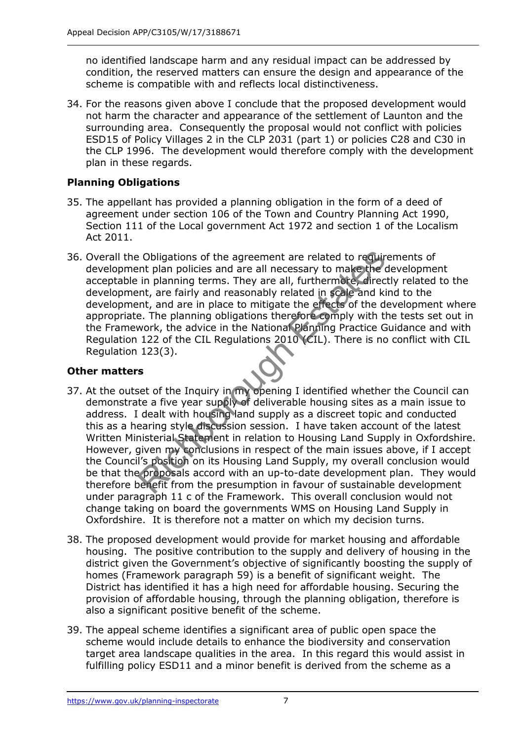no identified landscape harm and any residual impact can be addressed by condition, the reserved matters can ensure the design and appearance of the scheme is compatible with and reflects local distinctiveness.

34. For the reasons given above I conclude that the proposed development would not harm the character and appearance of the settlement of Launton and the surrounding area. Consequently the proposal would not conflict with policies ESD15 of Policy Villages 2 in the CLP 2031 (part 1) or policies C28 and C30 in the CLP 1996. The development would therefore comply with the development plan in these regards.

# **Planning Obligations**

- 35. The appellant has provided a planning obligation in the form of a deed of agreement under section 106 of the Town and Country Planning Act 1990, Section 111 of the Local government Act 1972 and section 1 of the Localism Act 2011.
- 36. Overall the Obligations of the agreement are related to requirements of development plan policies and are all necessary to make the development acceptable in planning terms. They are all, furthermore, directly related to the development, are fairly and reasonably related in scale and kind to the development, and are in place to mitigate the effects of the development where appropriate. The planning obligations therefore comply with the tests set out in the Framework, the advice in the National Planning Practice Guidance and with Regulation 122 of the CIL Regulations 2010 (CIL). There is no conflict with CIL Regulation 123(3).

## **Other matters**

- 37. At the outset of the Inquiry in my opening I identified whether the Council can demonstrate a five year supply of deliverable housing sites as a main issue to address. I dealt with housing land supply as a discreet topic and conducted this as a hearing style discussion session. I have taken account of the latest Written Ministerial Statement in relation to Housing Land Supply in Oxfordshire. However, given my conclusions in respect of the main issues above, if I accept the Council's position on its Housing Land Supply, my overall conclusion would be that the proposals accord with an up-to-date development plan. They would therefore benefit from the presumption in favour of sustainable development under paragraph 11 c of the Framework. This overall conclusion would not change taking on board the governments WMS on Housing Land Supply in Oxfordshire. It is therefore not a matter on which my decision turns. Experience of the agreement are related to require<br>
the policies and are all necessary to make the time planning terms. They are all, furthermote, direct<br>
in planning terms. They are all, furthermote, direct<br>
then, and are
- 38. The proposed development would provide for market housing and affordable housing. The positive contribution to the supply and delivery of housing in the district given the Government's objective of significantly boosting the supply of homes (Framework paragraph 59) is a benefit of significant weight. The District has identified it has a high need for affordable housing. Securing the provision of affordable housing, through the planning obligation, therefore is also a significant positive benefit of the scheme.
- 39. The appeal scheme identifies a significant area of public open space the scheme would include details to enhance the biodiversity and conservation target area landscape qualities in the area. In this regard this would assist in fulfilling policy ESD11 and a minor benefit is derived from the scheme as a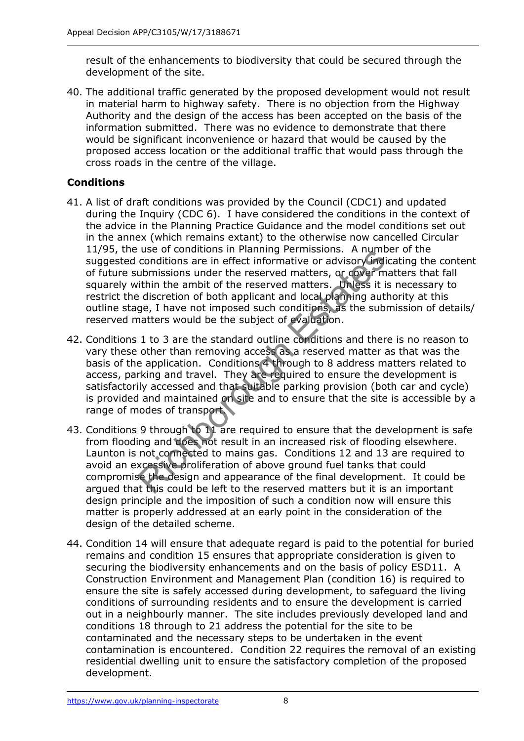result of the enhancements to biodiversity that could be secured through the development of the site.

40. The additional traffic generated by the proposed development would not result in material harm to highway safety. There is no objection from the Highway Authority and the design of the access has been accepted on the basis of the information submitted. There was no evidence to demonstrate that there would be significant inconvenience or hazard that would be caused by the proposed access location or the additional traffic that would pass through the cross roads in the centre of the village.

# **Conditions**

- 41. A list of draft conditions was provided by the Council (CDC1) and updated during the Inquiry (CDC 6). I have considered the conditions in the context of the advice in the Planning Practice Guidance and the model conditions set out in the annex (which remains extant) to the otherwise now cancelled Circular 11/95, the use of conditions in Planning Permissions. A number of the suggested conditions are in effect informative or advisory indicating the content of future submissions under the reserved matters, or cover matters that fall squarely within the ambit of the reserved matters. Unless it is necessary to restrict the discretion of both applicant and local planning authority at this outline stage, I have not imposed such conditions, as the submission of details/ reserved matters would be the subject of evaluation.
- 42. Conditions 1 to 3 are the standard outline conditions and there is no reason to vary these other than removing access as a reserved matter as that was the basis of the application. Conditions 4 through to 8 address matters related to access, parking and travel. They are required to ensure the development is satisfactorily accessed and that suitable parking provision (both car and cycle) is provided and maintained on site and to ensure that the site is accessible by a range of modes of transport. detain are in effect informative or advisory indices are in effect informative or advisory in<br>this sions under the reserved matters, or doservirthin the ambit of the reserved matters, or dover in<br>this discretion of both ap
- 43. Conditions 9 through to 11 are required to ensure that the development is safe from flooding and does not result in an increased risk of flooding elsewhere. Launton is not connected to mains gas. Conditions 12 and 13 are required to avoid an excessive proliferation of above ground fuel tanks that could compromise the design and appearance of the final development. It could be argued that this could be left to the reserved matters but it is an important design principle and the imposition of such a condition now will ensure this matter is properly addressed at an early point in the consideration of the design of the detailed scheme.
- 44. Condition 14 will ensure that adequate regard is paid to the potential for buried remains and condition 15 ensures that appropriate consideration is given to securing the biodiversity enhancements and on the basis of policy ESD11. A Construction Environment and Management Plan (condition 16) is required to ensure the site is safely accessed during development, to safeguard the living conditions of surrounding residents and to ensure the development is carried out in a neighbourly manner. The site includes previously developed land and conditions 18 through to 21 address the potential for the site to be contaminated and the necessary steps to be undertaken in the event contamination is encountered. Condition 22 requires the removal of an existing residential dwelling unit to ensure the satisfactory completion of the proposed development.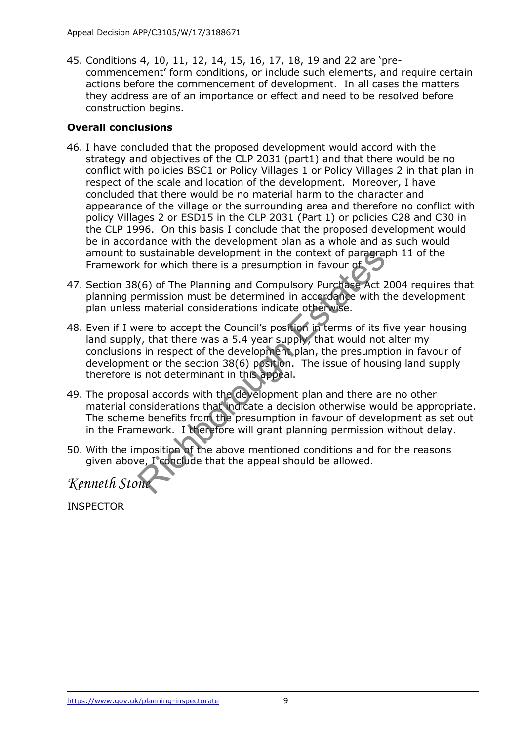45. Conditions 4, 10, 11, 12, 14, 15, 16, 17, 18, 19 and 22 are 'precommencement' form conditions, or include such elements, and require certain actions before the commencement of development. In all cases the matters they address are of an importance or effect and need to be resolved before construction begins.

#### **Overall conclusions**

- 46. I have concluded that the proposed development would accord with the strategy and objectives of the CLP 2031 (part1) and that there would be no conflict with policies BSC1 or Policy Villages 1 or Policy Villages 2 in that plan in respect of the scale and location of the development. Moreover, I have concluded that there would be no material harm to the character and appearance of the village or the surrounding area and therefore no conflict with policy Villages 2 or ESD15 in the CLP 2031 (Part 1) or policies C28 and C30 in the CLP 1996. On this basis I conclude that the proposed development would be in accordance with the development plan as a whole and as such would amount to sustainable development in the context of paragraph 11 of the Framework for which there is a presumption in favour of.
- 47. Section 38(6) of The Planning and Compulsory Purchase Act 2004 requires that planning permission must be determined in accordance with the development plan unless material considerations indicate otherwise.
- 48. Even if I were to accept the Council's position in terms of its five year housing land supply, that there was a 5.4 year supply, that would not alter my conclusions in respect of the development plan, the presumption in favour of development or the section 38(6) position. The issue of housing land supply therefore is not determinant in this appeal. sustainable development in the context of paragrax<br>
for which there is a presumption in favour of<br>
(6) of The Planning and Compulsory Purchase Act 2<br>
ermission must be determined in accordance with t<br>
is material considera
- 49. The proposal accords with the development plan and there are no other material considerations that indicate a decision otherwise would be appropriate. The scheme benefits from the presumption in favour of development as set out in the Framework. I therefore will grant planning permission without delay.
- 50. With the imposition of the above mentioned conditions and for the reasons given above, I conclude that the appeal should be allowed.

*Kenneth Stone*

INSPECTOR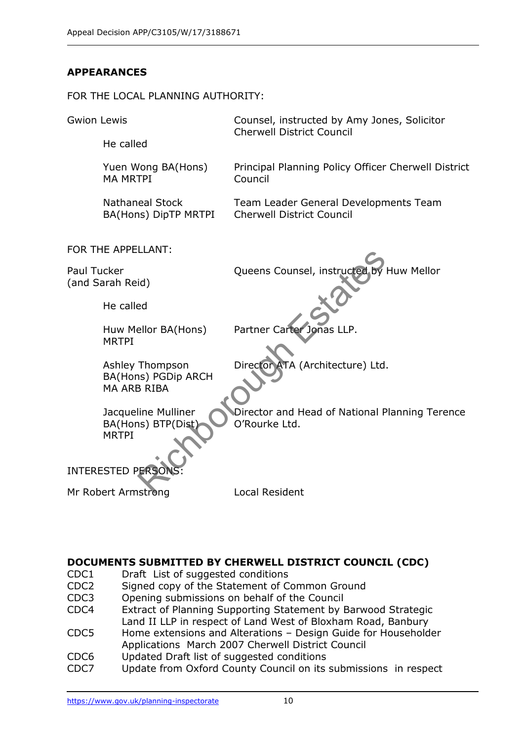# **APPEARANCES**

#### FOR THE LOCAL PLANNING AUTHORITY:



## **DOCUMENTS SUBMITTED BY CHERWELL DISTRICT COUNCIL (CDC)**

- CDC1 Draft List of suggested conditions
- CDC2 Signed copy of the Statement of Common Ground
- CDC3 Opening submissions on behalf of the Council
- CDC4 Extract of Planning Supporting Statement by Barwood Strategic Land II LLP in respect of Land West of Bloxham Road, Banbury
- CDC5 Home extensions and Alterations Design Guide for Householder Applications March 2007 Cherwell District Council
- CDC6 Updated Draft list of suggested conditions
- CDC7 Update from Oxford County Council on its submissions in respect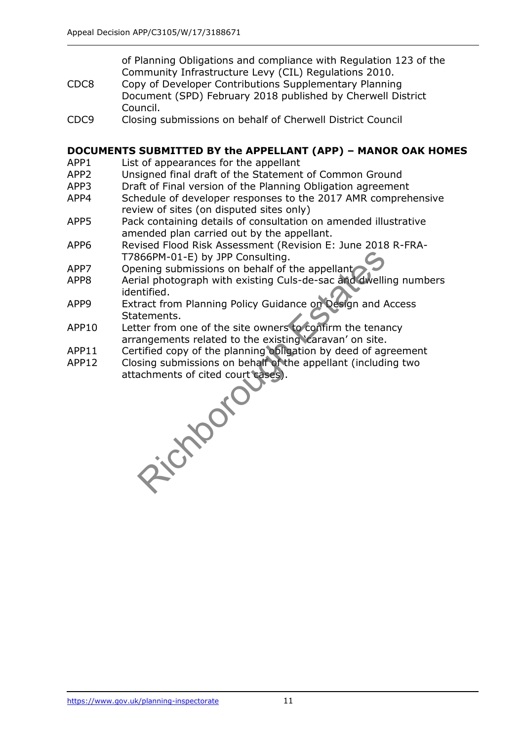of Planning Obligations and compliance with Regulation 123 of the Community Infrastructure Levy (CIL) Regulations 2010.

- CDC8 Copy of Developer Contributions Supplementary Planning Document (SPD) February 2018 published by Cherwell District Council.
- CDC9 Closing submissions on behalf of Cherwell District Council

#### **DOCUMENTS SUBMITTED BY the APPELLANT (APP) – MANOR OAK HOMES**

- APP1 List of appearances for the appellant
- APP2 Unsigned final draft of the Statement of Common Ground
- APP3 Draft of Final version of the Planning Obligation agreement
- APP4 Schedule of developer responses to the 2017 AMR comprehensive review of sites (on disputed sites only)
- APP5 Pack containing details of consultation on amended illustrative amended plan carried out by the appellant.
- APP6 Revised Flood Risk Assessment (Revision E: June 2018 R-FRA-T7866PM-01-E) by JPP Consulting.
- APP7 Opening submissions on behalf of the appellant
- APP8 Aerial photograph with existing Culs-de-sac and dwelling numbers identified.
- APP9 Extract from Planning Policy Guidance on Design and Access Statements.
- APP10 Letter from one of the site owners to confirm the tenancy arrangements related to the existing 'caravan' on site.
- APP11 Certified copy of the planning obligation by deed of agreement
- APP12 Closing submissions on behalf of the appellant (including two attachments of cited court cases). Richboro<sub>d</sub>

<https://www.gov.uk/planning-inspectorate>11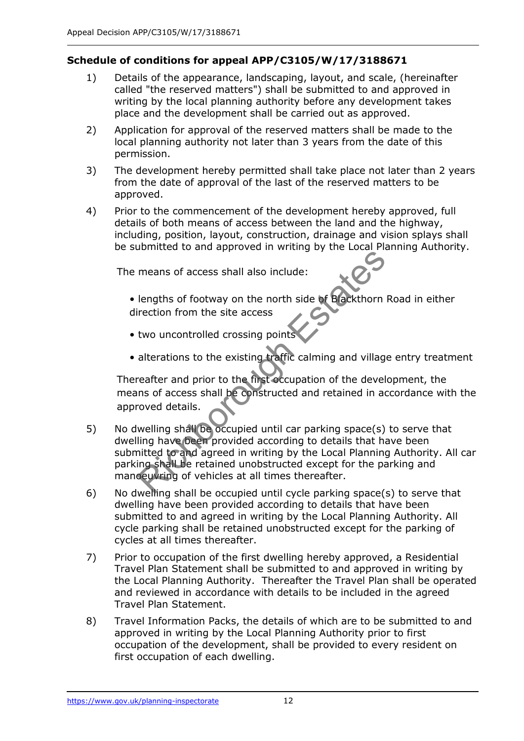# **Schedule of conditions for appeal APP/C3105/W/17/3188671**

- 1) Details of the appearance, landscaping, layout, and scale, (hereinafter called "the reserved matters") shall be submitted to and approved in writing by the local planning authority before any development takes place and the development shall be carried out as approved.
- 2) Application for approval of the reserved matters shall be made to the local planning authority not later than 3 years from the date of this permission.
- 3) The development hereby permitted shall take place not later than 2 years from the date of approval of the last of the reserved matters to be approved.
- 4) Prior to the commencement of the development hereby approved, full details of both means of access between the land and the highway, including, position, layout, construction, drainage and vision splays shall be submitted to and approved in writing by the Local Planning Authority.

The means of access shall also include:

- lengths of footway on the north side of Blackthorn Road in either direction from the site access
- two uncontrolled crossing points
- alterations to the existing traffic calming and village entry treatment

Thereafter and prior to the first occupation of the development, the means of access shall be constructed and retained in accordance with the approved details.

- 5) No dwelling shall be occupied until car parking space(s) to serve that dwelling have been provided according to details that have been submitted to and agreed in writing by the Local Planning Authority. All car parking shall be retained unobstructed except for the parking and manoeuvring of vehicles at all times thereafter. means of access shall also include:<br>
lengths of footway on the north side of Blackthorn<br>
rection from the site access<br>
two uncontrolled crossing points<br>
alterations to the existing traffic calming and villag<br>
reafter and p
- 6) No dwelling shall be occupied until cycle parking space(s) to serve that dwelling have been provided according to details that have been submitted to and agreed in writing by the Local Planning Authority. All cycle parking shall be retained unobstructed except for the parking of cycles at all times thereafter.
- 7) Prior to occupation of the first dwelling hereby approved, a Residential Travel Plan Statement shall be submitted to and approved in writing by the Local Planning Authority. Thereafter the Travel Plan shall be operated and reviewed in accordance with details to be included in the agreed Travel Plan Statement.
- 8) Travel Information Packs, the details of which are to be submitted to and approved in writing by the Local Planning Authority prior to first occupation of the development, shall be provided to every resident on first occupation of each dwelling.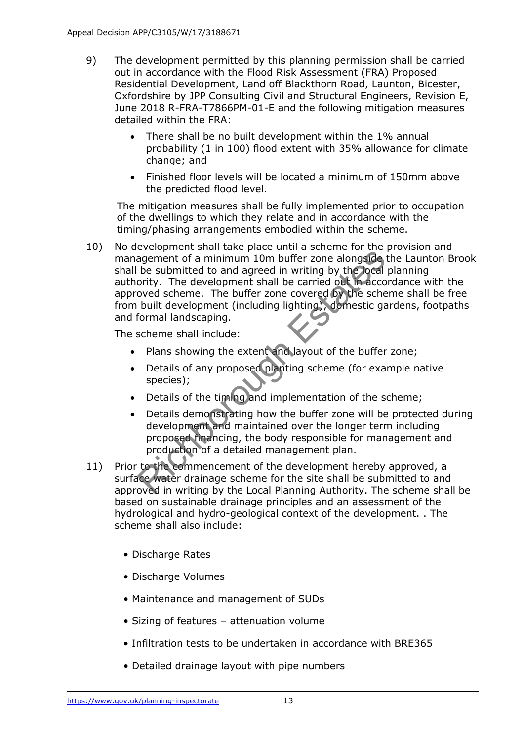- 9) The development permitted by this planning permission shall be carried out in accordance with the Flood Risk Assessment (FRA) Proposed Residential Development, Land off Blackthorn Road, Launton, Bicester, Oxfordshire by JPP Consulting Civil and Structural Engineers, Revision E, June 2018 R-FRA-T7866PM-01-E and the following mitigation measures detailed within the FRA:
	- There shall be no built development within the 1% annual probability (1 in 100) flood extent with 35% allowance for climate change; and
	- Finished floor levels will be located a minimum of 150mm above the predicted flood level.

The mitigation measures shall be fully implemented prior to occupation of the dwellings to which they relate and in accordance with the timing/phasing arrangements embodied within the scheme.

10) No development shall take place until a scheme for the provision and management of a minimum 10m buffer zone alongside the Launton Brook shall be submitted to and agreed in writing by the local planning authority. The development shall be carried out in accordance with the approved scheme. The buffer zone covered by the scheme shall be free from built development (including lighting), domestic gardens, footpaths and formal landscaping. agement of a minimum 10m buffer zone alongside<br>be submitted to and agreed in writing by the bocal<br>ority. The development shall be carried out in acco<br>oved scheme. The buffer zone covered by the sche<br>built development (incl

The scheme shall include:

- Plans showing the extent and layout of the buffer zone;
- Details of any proposed planting scheme (for example native species);
- Details of the timing and implementation of the scheme;
- Details demonstrating how the buffer zone will be protected during development and maintained over the longer term including proposed financing, the body responsible for management and production of a detailed management plan.
- 11) Prior to the commencement of the development hereby approved, a surface water drainage scheme for the site shall be submitted to and approved in writing by the Local Planning Authority. The scheme shall be based on sustainable drainage principles and an assessment of the hydrological and hydro-geological context of the development. . The scheme shall also include:
	- Discharge Rates
	- Discharge Volumes
	- Maintenance and management of SUDs
	- Sizing of features attenuation volume
	- Infiltration tests to be undertaken in accordance with BRE365
	- Detailed drainage layout with pipe numbers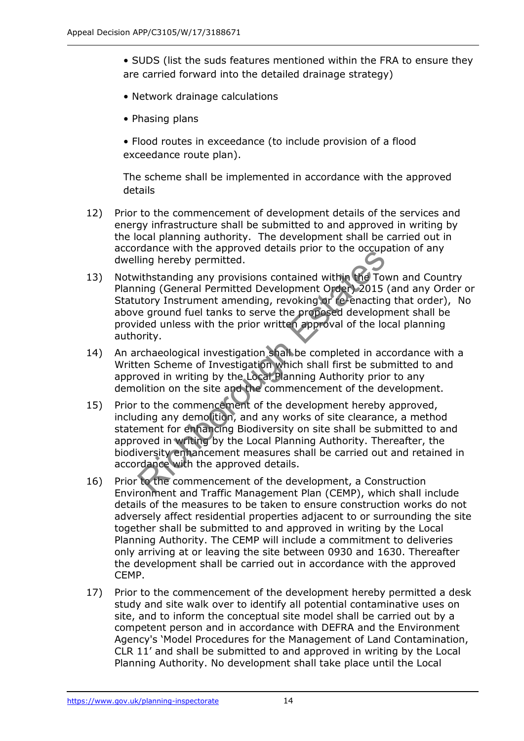- SUDS (list the suds features mentioned within the FRA to ensure they are carried forward into the detailed drainage strategy)
- Network drainage calculations
- Phasing plans
- Flood routes in exceedance (to include provision of a flood exceedance route plan).

The scheme shall be implemented in accordance with the approved details

- 12) Prior to the commencement of development details of the services and energy infrastructure shall be submitted to and approved in writing by the local planning authority. The development shall be carried out in accordance with the approved details prior to the occupation of any dwelling hereby permitted.
- 13) Notwithstanding any provisions contained within the Town and Country Planning (General Permitted Development Order) 2015 (and any Order or Statutory Instrument amending, revoking or re-enacting that order), No above ground fuel tanks to serve the proposed development shall be provided unless with the prior written approval of the local planning authority. Figure with the approvement of the development Plan (CEMP) whisted the comment and Traffic Management Dream of the development order) and figure is ground fuel tanks to serve the proposed developped into the local developm
- 14) An archaeological investigation shall be completed in accordance with a Written Scheme of Investigation which shall first be submitted to and approved in writing by the Local Planning Authority prior to any demolition on the site and the commencement of the development.
- 15) Prior to the commencement of the development hereby approved, including any demolition, and any works of site clearance, a method statement for enhancing Biodiversity on site shall be submitted to and approved in writing by the Local Planning Authority. Thereafter, the biodiversity enhancement measures shall be carried out and retained in accordance with the approved details.
- 16) Prior to the commencement of the development, a Construction Environment and Traffic Management Plan (CEMP), which shall include details of the measures to be taken to ensure construction works do not adversely affect residential properties adjacent to or surrounding the site together shall be submitted to and approved in writing by the Local Planning Authority. The CEMP will include a commitment to deliveries only arriving at or leaving the site between 0930 and 1630. Thereafter the development shall be carried out in accordance with the approved CEMP.
- 17) Prior to the commencement of the development hereby permitted a desk study and site walk over to identify all potential contaminative uses on site, and to inform the conceptual site model shall be carried out by a competent person and in accordance with DEFRA and the Environment Agency's 'Model Procedures for the Management of Land Contamination, CLR 11' and shall be submitted to and approved in writing by the Local Planning Authority. No development shall take place until the Local